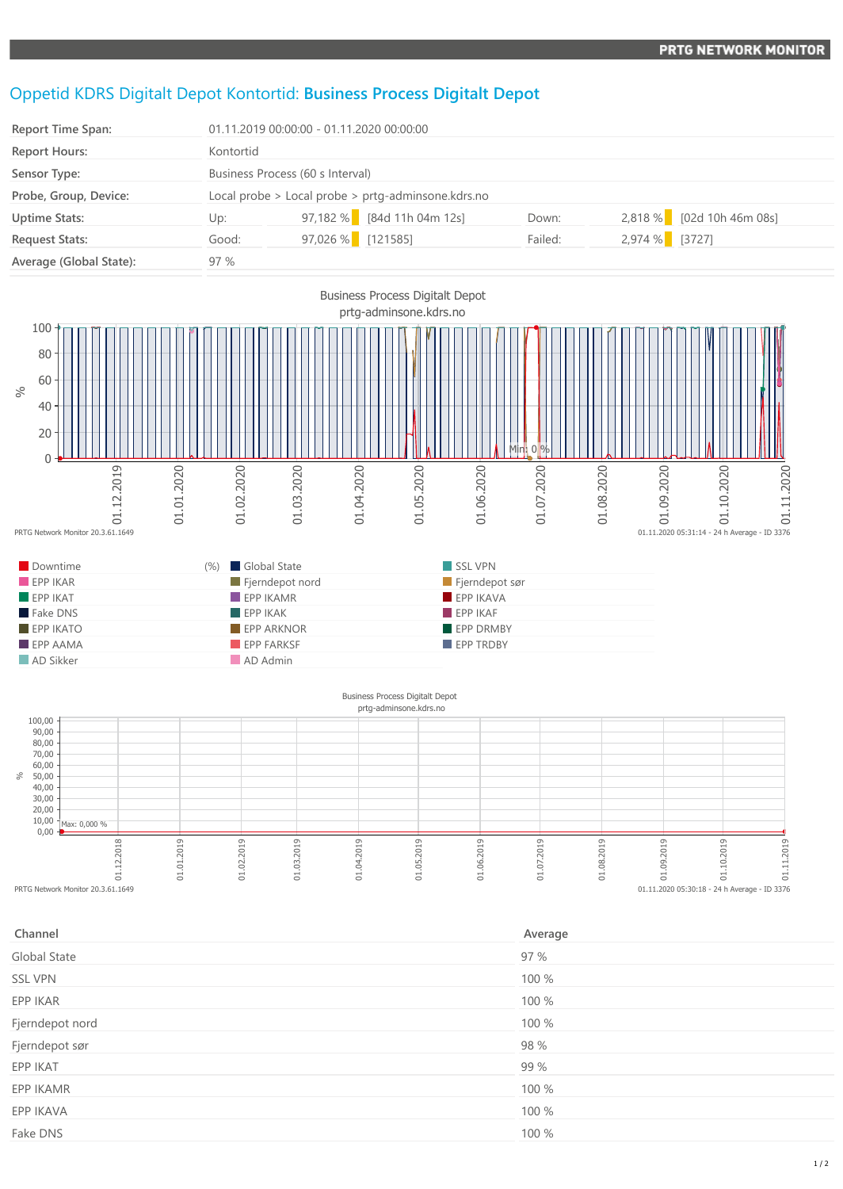## Oppetid KDRS Digitalt Depot Kontortid: **Business Process Digitalt Depot**

| <b>Report Time Span:</b> | 01.11.2019 00:00:00 - 01.11.2020 00:00:00 |                                                    |         |                           |  |  |
|--------------------------|-------------------------------------------|----------------------------------------------------|---------|---------------------------|--|--|
| <b>Report Hours:</b>     | Kontortid                                 |                                                    |         |                           |  |  |
| Sensor Type:             |                                           | Business Process (60 s Interval)                   |         |                           |  |  |
| Probe, Group, Device:    |                                           | Local probe > Local probe > prtg-adminsone.kdrs.no |         |                           |  |  |
| <b>Uptime Stats:</b>     | Up:                                       | 97,182 % [84d 11h 04m 12s]                         | Down:   | 2,818 % [02d 10h 46m 08s] |  |  |
| <b>Request Stats:</b>    | Good:                                     | 97,026 % [121585]                                  | Failed: | 2,974 % [3727]            |  |  |
| Average (Global State):  | 97%                                       |                                                    |         |                           |  |  |



## $0,00 -$ 10,00 20,00 30,00 40,00 50,00  $60,00$ 70,00 80,00 90,00  $100,00$ %eg<br>
PRTG Network Monitor 20.3.61.1649 01.01.2019 01.02.2019 01.03.2019 01.04.2019 01.05.2019 01.06.2019 01.07.2019 01.08.2019 01.09.2019 01.10.2019 01.11.2019 prtg-adminsone.kdrs.no Max: 0,000 %  $01.11.2020 05:30:18 - 24 h$  Average - ID 3376

| Channel         | Average |
|-----------------|---------|
| Global State    | 97 %    |
| <b>SSL VPN</b>  | 100 %   |
| EPP IKAR        | 100 %   |
| Fjerndepot nord | 100 %   |
| Fjerndepot sør  | 98 %    |
| EPP IKAT        | 99 %    |
| EPP IKAMR       | 100 %   |
| EPP IKAVA       | 100 %   |
| Fake DNS        | 100 %   |
|                 |         |